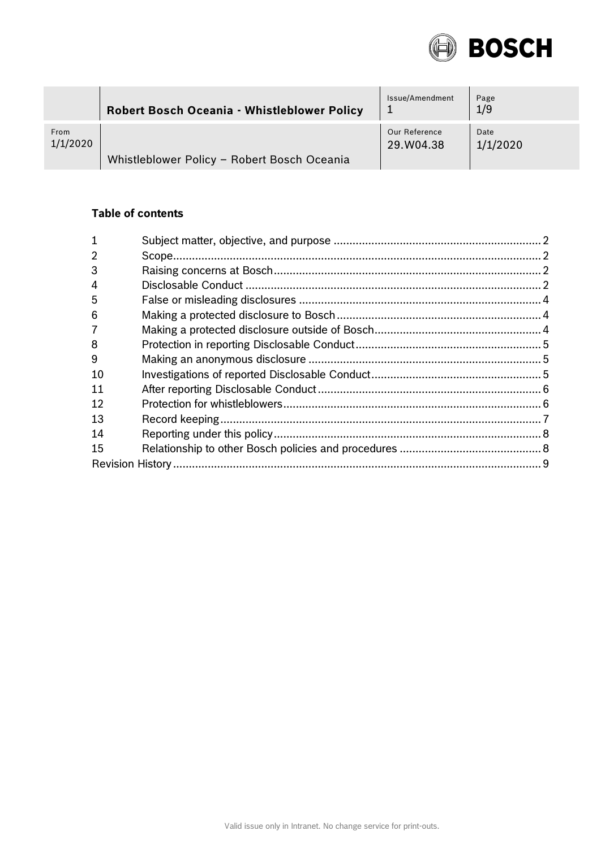

|          | Robert Bosch Oceania - Whistleblower Policy | Issue/Amendment | Page<br>1/9 |
|----------|---------------------------------------------|-----------------|-------------|
| From     | Whistleblower Policy - Robert Bosch Oceania | Our Reference   | Date        |
| 1/1/2020 |                                             | 29.W04.38       | 1/1/2020    |

# **Table of contents**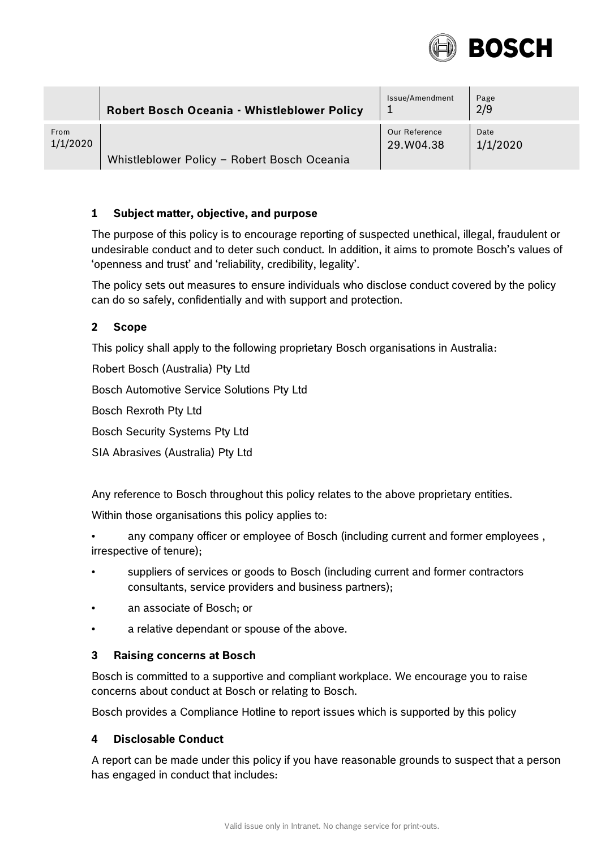

|          | <b>Robert Bosch Oceania - Whistleblower Policy</b> | Issue/Amendment | Page<br>2/9 |
|----------|----------------------------------------------------|-----------------|-------------|
| From     | Whistleblower Policy - Robert Bosch Oceania        | Our Reference   | Date        |
| 1/1/2020 |                                                    | 29.W04.38       | 1/1/2020    |

### <span id="page-1-0"></span>**1 Subject matter, objective, and purpose**

The purpose of this policy is to encourage reporting of suspected unethical, illegal, fraudulent or undesirable conduct and to deter such conduct. In addition, it aims to promote Bosch's values of 'openness and trust' and 'reliability, credibility, legality'.

The policy sets out measures to ensure individuals who disclose conduct covered by the policy can do so safely, confidentially and with support and protection.

### <span id="page-1-1"></span>**2 Scope**

This policy shall apply to the following proprietary Bosch organisations in Australia:

Robert Bosch (Australia) Pty Ltd

Bosch Automotive Service Solutions Pty Ltd

Bosch Rexroth Pty Ltd

Bosch Security Systems Pty Ltd

SIA Abrasives (Australia) Pty Ltd

Any reference to Bosch throughout this policy relates to the above proprietary entities.

Within those organisations this policy applies to:

- any company officer or employee of Bosch (including current and former employees , irrespective of tenure);
- suppliers of services or goods to Bosch (including current and former contractors consultants, service providers and business partners);
- an associate of Bosch; or
- a relative dependant or spouse of the above.

#### <span id="page-1-2"></span>**3 Raising concerns at Bosch**

Bosch is committed to a supportive and compliant workplace. We encourage you to raise concerns about conduct at Bosch or relating to Bosch.

Bosch provides a Compliance Hotline to report issues which is supported by this policy

#### <span id="page-1-3"></span>**4 Disclosable Conduct**

A report can be made under this policy if you have reasonable grounds to suspect that a person has engaged in conduct that includes: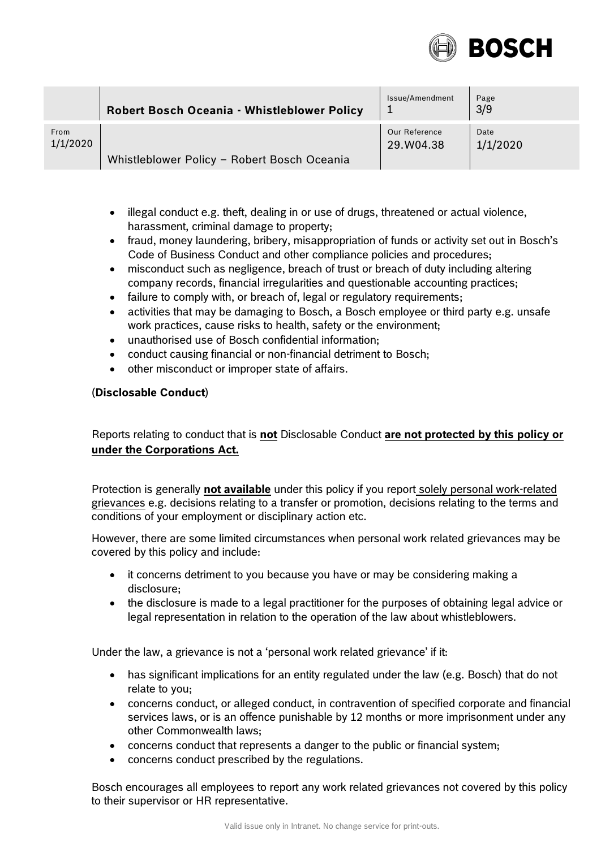

|          | <b>Robert Bosch Oceania - Whistleblower Policy</b> | Issue/Amendment | Page<br>3/9 |
|----------|----------------------------------------------------|-----------------|-------------|
| From     | Whistleblower Policy - Robert Bosch Oceania        | Our Reference   | Date        |
| 1/1/2020 |                                                    | 29.W04.38       | 1/1/2020    |

- $\bullet$  illegal conduct e.g. theft, dealing in or use of drugs, threatened or actual violence, harassment, criminal damage to property;
- fraud, money laundering, bribery, misappropriation of funds or activity set out in Bosch's Code of Business Conduct and other compliance policies and procedures;
- misconduct such as negligence, breach of trust or breach of duty including altering company records, financial irregularities and questionable accounting practices;
- failure to comply with, or breach of, legal or regulatory requirements;
- activities that may be damaging to Bosch, a Bosch employee or third party e.g. unsafe work practices, cause risks to health, safety or the environment;
- unauthorised use of Bosch confidential information;
- conduct causing financial or non-financial detriment to Bosch;
- other misconduct or improper state of affairs.

#### (**Disclosable Conduct**)

Reports relating to conduct that is **not** Disclosable Conduct **are not protected by this policy or under the Corporations Act.**

Protection is generally **not available** under this policy if you report solely personal work-related grievances e.g. decisions relating to a transfer or promotion, decisions relating to the terms and conditions of your employment or disciplinary action etc.

However, there are some limited circumstances when personal work related grievances may be covered by this policy and include:

- it concerns detriment to you because you have or may be considering making a disclosure;
- the disclosure is made to a legal practitioner for the purposes of obtaining legal advice or legal representation in relation to the operation of the law about whistleblowers.

Under the law, a grievance is not a 'personal work related grievance' if it:

- has significant implications for an entity regulated under the law (e.g. Bosch) that do not relate to you;
- concerns conduct, or alleged conduct, in contravention of specified corporate and financial services laws, or is an offence punishable by 12 months or more imprisonment under any other Commonwealth laws;
- concerns conduct that represents a danger to the public or financial system;
- concerns conduct prescribed by the regulations.

Bosch encourages all employees to report any work related grievances not covered by this policy to their supervisor or HR representative.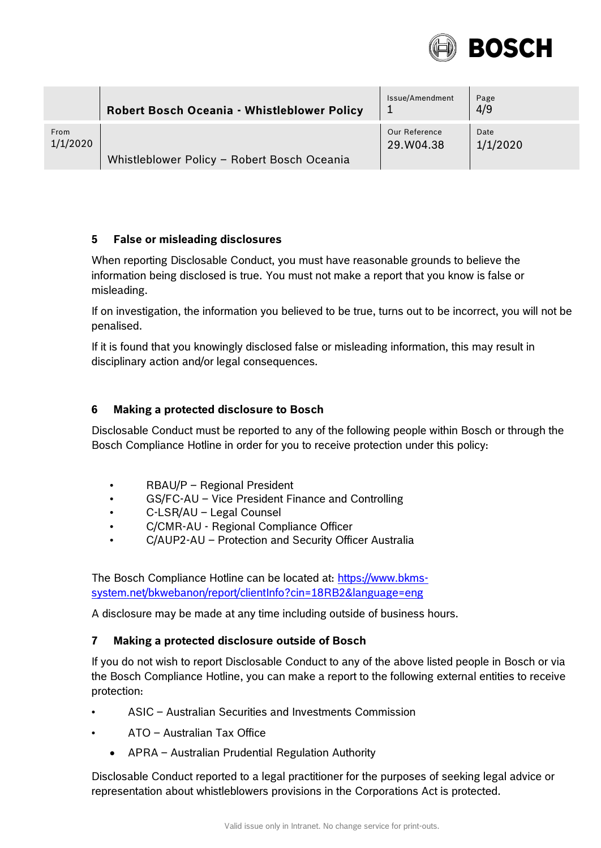

|          | <b>Robert Bosch Oceania - Whistleblower Policy</b> | Issue/Amendment<br>л. | Page<br>4/9 |
|----------|----------------------------------------------------|-----------------------|-------------|
| From     | Whistleblower Policy - Robert Bosch Oceania        | Our Reference         | Date        |
| 1/1/2020 |                                                    | 29.W04.38             | 1/1/2020    |

### <span id="page-3-0"></span>**5 False or misleading disclosures**

When reporting Disclosable Conduct, you must have reasonable grounds to believe the information being disclosed is true. You must not make a report that you know is false or misleading.

If on investigation, the information you believed to be true, turns out to be incorrect, you will not be penalised.

If it is found that you knowingly disclosed false or misleading information, this may result in disciplinary action and/or legal consequences.

# <span id="page-3-1"></span>**6 Making a protected disclosure to Bosch**

Disclosable Conduct must be reported to any of the following people within Bosch or through the Bosch Compliance Hotline in order for you to receive protection under this policy:

- RBAU/P Regional President
- GS/FC-AU Vice President Finance and Controlling
- C-LSR/AU Legal Counsel
- C/CMR-AU Regional Compliance Officer
- C/AUP2-AU Protection and Security Officer Australia

The Bosch Compliance Hotline can be located at: [https://www.bkms](https://www.bkms-system.net/bkwebanon/report/clientInfo?cin=18RB2&language=eng)[system.net/bkwebanon/report/clientInfo?cin=18RB2&language=eng](https://www.bkms-system.net/bkwebanon/report/clientInfo?cin=18RB2&language=eng) 

A disclosure may be made at any time including outside of business hours.

# <span id="page-3-2"></span>**7 Making a protected disclosure outside of Bosch**

If you do not wish to report Disclosable Conduct to any of the above listed people in Bosch or via the Bosch Compliance Hotline, you can make a report to the following external entities to receive protection:

- ASIC Australian Securities and Investments Commission
- ATO Australian Tax Office
	- APRA Australian Prudential Regulation Authority

Disclosable Conduct reported to a legal practitioner for the purposes of seeking legal advice or representation about whistleblowers provisions in the Corporations Act is protected.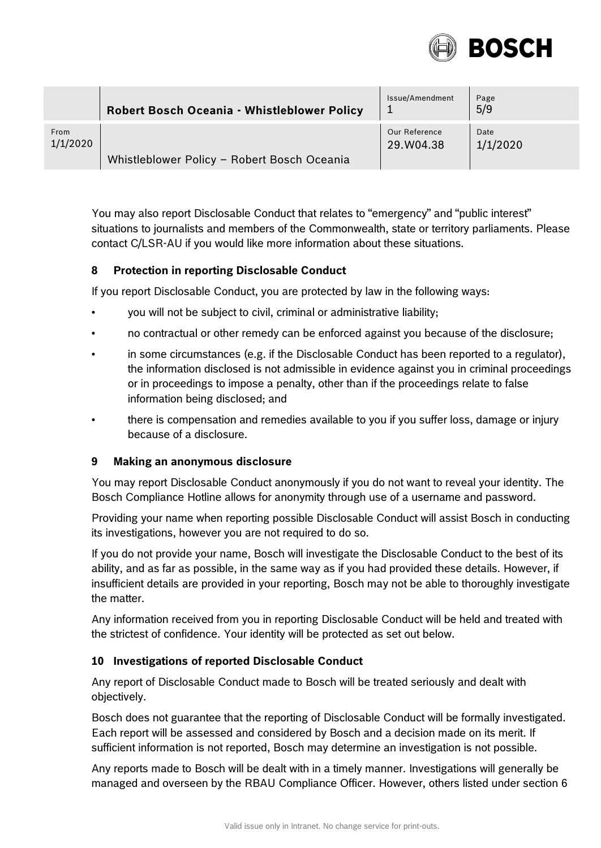

|          | Robert Bosch Oceania - Whistleblower Policy | Issue/Amendment | Page<br>5/9 |
|----------|---------------------------------------------|-----------------|-------------|
| From     | Whistleblower Policy - Robert Bosch Oceania | Our Reference   | Date        |
| 1/1/2020 |                                             | 29.W04.38       | 1/1/2020    |

You may also report Disclosable Conduct that relates to "emergency" and "public interest" situations to journalists and members of the Commonwealth, state or territory parliaments. Please contact C/LSR-AU if you would like more information about these situations.

# <span id="page-4-0"></span>**8 Protection in reporting Disclosable Conduct**

If you report Disclosable Conduct, you are protected by law in the following ways:

- you will not be subject to civil, criminal or administrative liability;
- no contractual or other remedy can be enforced against you because of the disclosure;
- in some circumstances (e.g. if the Disclosable Conduct has been reported to a regulator), the information disclosed is not admissible in evidence against you in criminal proceedings or in proceedings to impose a penalty, other than if the proceedings relate to false information being disclosed; and
- there is compensation and remedies available to you if you suffer loss, damage or injury because of a disclosure.

#### <span id="page-4-1"></span>**9 Making an anonymous disclosure**

You may report Disclosable Conduct anonymously if you do not want to reveal your identity. The Bosch Compliance Hotline allows for anonymity through use of a username and password.

Providing your name when reporting possible Disclosable Conduct will assist Bosch in conducting its investigations, however you are not required to do so.

If you do not provide your name, Bosch will investigate the Disclosable Conduct to the best of its ability, and as far as possible, in the same way as if you had provided these details. However, if insufficient details are provided in your reporting, Bosch may not be able to thoroughly investigate the matter.

Any information received from you in reporting Disclosable Conduct will be held and treated with the strictest of confidence. Your identity will be protected as set out below.

#### <span id="page-4-2"></span>**10 Investigations of reported Disclosable Conduct**

Any report of Disclosable Conduct made to Bosch will be treated seriously and dealt with objectively.

Bosch does not guarantee that the reporting of Disclosable Conduct will be formally investigated. Each report will be assessed and considered by Bosch and a decision made on its merit. If sufficient information is not reported, Bosch may determine an investigation is not possible.

Any reports made to Bosch will be dealt with in a timely manner. Investigations will generally be managed and overseen by the RBAU Compliance Officer. However, others listed under section 6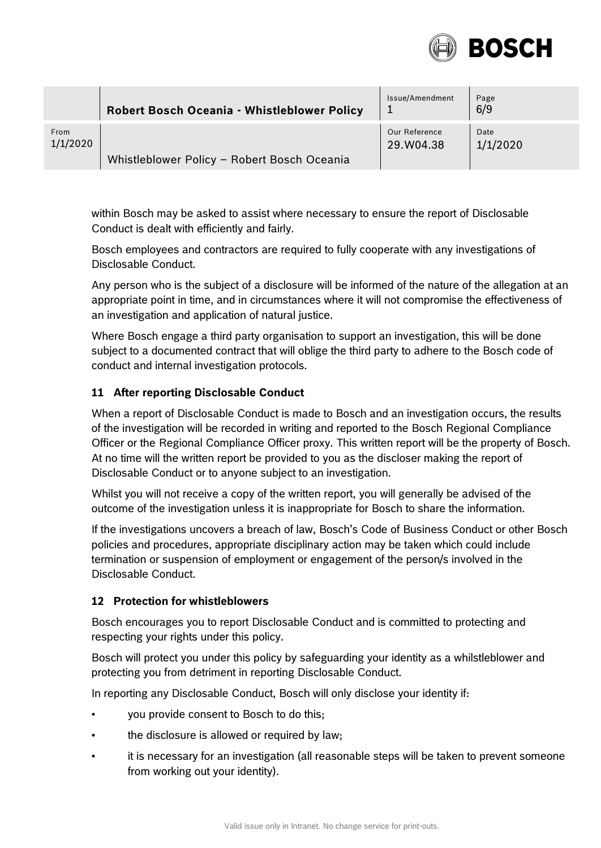

|          | Robert Bosch Oceania - Whistleblower Policy | Issue/Amendment | Page<br>6/9 |
|----------|---------------------------------------------|-----------------|-------------|
| From     | Whistleblower Policy - Robert Bosch Oceania | Our Reference   | Date        |
| 1/1/2020 |                                             | 29.W04.38       | 1/1/2020    |

within Bosch may be asked to assist where necessary to ensure the report of Disclosable Conduct is dealt with efficiently and fairly.

Bosch employees and contractors are required to fully cooperate with any investigations of Disclosable Conduct.

Any person who is the subject of a disclosure will be informed of the nature of the allegation at an appropriate point in time, and in circumstances where it will not compromise the effectiveness of an investigation and application of natural justice.

Where Bosch engage a third party organisation to support an investigation, this will be done subject to a documented contract that will oblige the third party to adhere to the Bosch code of conduct and internal investigation protocols.

# <span id="page-5-0"></span>**11 After reporting Disclosable Conduct**

When a report of Disclosable Conduct is made to Bosch and an investigation occurs, the results of the investigation will be recorded in writing and reported to the Bosch Regional Compliance Officer or the Regional Compliance Officer proxy. This written report will be the property of Bosch. At no time will the written report be provided to you as the discloser making the report of Disclosable Conduct or to anyone subject to an investigation.

Whilst you will not receive a copy of the written report, you will generally be advised of the outcome of the investigation unless it is inappropriate for Bosch to share the information.

If the investigations uncovers a breach of law, Bosch's Code of Business Conduct or other Bosch policies and procedures, appropriate disciplinary action may be taken which could include termination or suspension of employment or engagement of the person/s involved in the Disclosable Conduct.

# <span id="page-5-1"></span>**12 Protection for whistleblowers**

Bosch encourages you to report Disclosable Conduct and is committed to protecting and respecting your rights under this policy.

Bosch will protect you under this policy by safeguarding your identity as a whilstleblower and protecting you from detriment in reporting Disclosable Conduct.

In reporting any Disclosable Conduct, Bosch will only disclose your identity if:

- you provide consent to Bosch to do this;
- the disclosure is allowed or required by law;
- it is necessary for an investigation (all reasonable steps will be taken to prevent someone from working out your identity).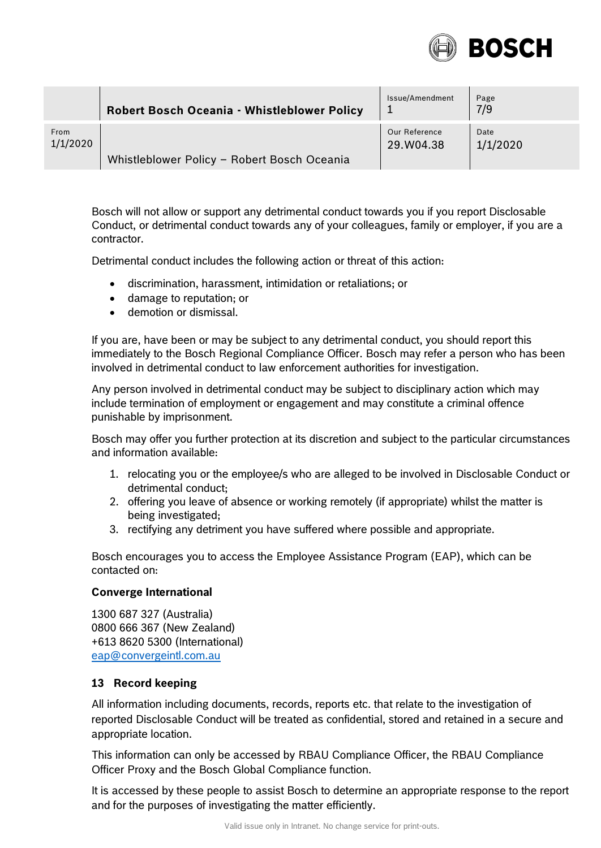

|          | <b>Robert Bosch Oceania - Whistleblower Policy</b> | Issue/Amendment | Page<br>7/9 |
|----------|----------------------------------------------------|-----------------|-------------|
| From     | Whistleblower Policy - Robert Bosch Oceania        | Our Reference   | Date        |
| 1/1/2020 |                                                    | 29.W04.38       | 1/1/2020    |

Bosch will not allow or support any detrimental conduct towards you if you report Disclosable Conduct, or detrimental conduct towards any of your colleagues, family or employer, if you are a contractor.

Detrimental conduct includes the following action or threat of this action:

- discrimination, harassment, intimidation or retaliations; or
- damage to reputation; or
- demotion or dismissal.

If you are, have been or may be subject to any detrimental conduct, you should report this immediately to the Bosch Regional Compliance Officer. Bosch may refer a person who has been involved in detrimental conduct to law enforcement authorities for investigation.

Any person involved in detrimental conduct may be subject to disciplinary action which may include termination of employment or engagement and may constitute a criminal offence punishable by imprisonment.

Bosch may offer you further protection at its discretion and subject to the particular circumstances and information available:

- 1. relocating you or the employee/s who are alleged to be involved in Disclosable Conduct or detrimental conduct;
- 2. offering you leave of absence or working remotely (if appropriate) whilst the matter is being investigated;
- 3. rectifying any detriment you have suffered where possible and appropriate.

Bosch encourages you to access the Employee Assistance Program (EAP), which can be contacted on:

#### **Converge International**

1300 687 327 (Australia) 0800 666 367 (New Zealand) +613 8620 5300 (International) [eap@convergeintl.com.au](mailto:eap@convergeintl.com.au)

# <span id="page-6-0"></span>**13 Record keeping**

All information including documents, records, reports etc. that relate to the investigation of reported Disclosable Conduct will be treated as confidential, stored and retained in a secure and appropriate location.

This information can only be accessed by RBAU Compliance Officer, the RBAU Compliance Officer Proxy and the Bosch Global Compliance function.

It is accessed by these people to assist Bosch to determine an appropriate response to the report and for the purposes of investigating the matter efficiently.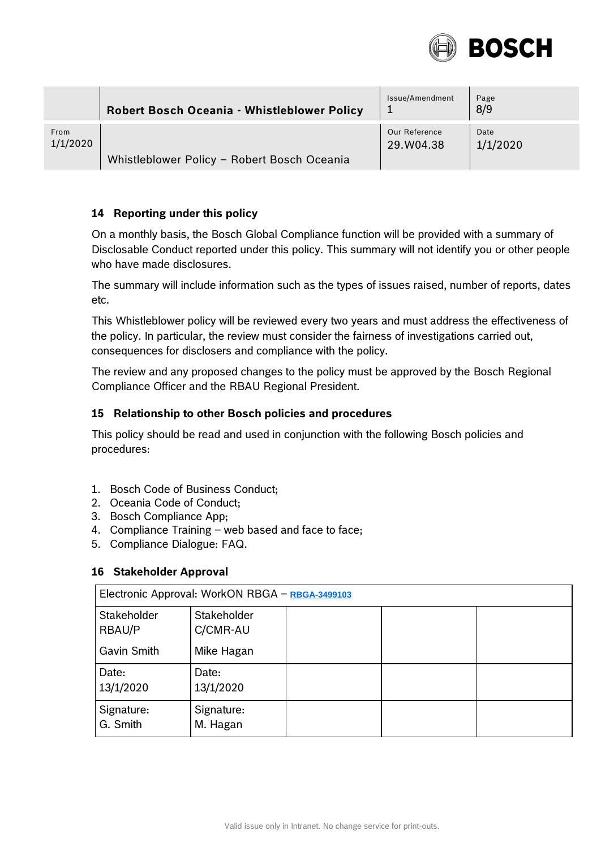

|          | <b>Robert Bosch Oceania - Whistleblower Policy</b> | Issue/Amendment | Page<br>8/9 |
|----------|----------------------------------------------------|-----------------|-------------|
| From     | Whistleblower Policy - Robert Bosch Oceania        | Our Reference   | Date        |
| 1/1/2020 |                                                    | 29.W04.38       | 1/1/2020    |

# <span id="page-7-0"></span>**14 Reporting under this policy**

On a monthly basis, the Bosch Global Compliance function will be provided with a summary of Disclosable Conduct reported under this policy. This summary will not identify you or other people who have made disclosures.

The summary will include information such as the types of issues raised, number of reports, dates etc.

This Whistleblower policy will be reviewed every two years and must address the effectiveness of the policy. In particular, the review must consider the fairness of investigations carried out, consequences for disclosers and compliance with the policy.

The review and any proposed changes to the policy must be approved by the Bosch Regional Compliance Officer and the RBAU Regional President.

### <span id="page-7-1"></span>**15 Relationship to other Bosch policies and procedures**

This policy should be read and used in conjunction with the following Bosch policies and procedures:

- 1. Bosch Code of Business Conduct;
- 2. Oceania Code of Conduct;
- 3. Bosch Compliance App;
- 4. Compliance Training web based and face to face;
- 5. Compliance Dialogue: FAQ.

# **16 Stakeholder Approval**

| Electronic Approval: WorkON RBGA - RBGA-3499103 |                         |  |  |  |
|-------------------------------------------------|-------------------------|--|--|--|
| Stakeholder<br>RBAU/P                           | Stakeholder<br>C/CMR-AU |  |  |  |
| Gavin Smith                                     | Mike Hagan              |  |  |  |
| Date:<br>13/1/2020                              | Date:<br>13/1/2020      |  |  |  |
| Signature:<br>G. Smith                          | Signature:<br>M. Hagan  |  |  |  |